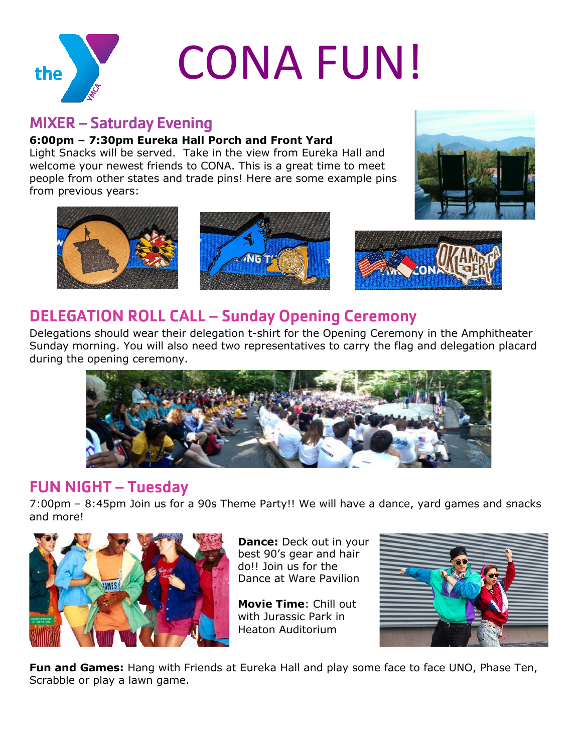

## MIXER – Saturday Evening

#### **6:00pm – 7:30pm Eureka Hall Porch and Front Yard**

Light Snacks will be served. Take in the view from Eureka Hall and welcome your newest friends to CONA. This is a great time to meet people from other states and trade pins! Here are some example pins from previous years:





#### DELEGATION ROLL CALL – Sunday Opening Ceremony

Delegations should wear their delegation t-shirt for the Opening Ceremony in the Amphitheater Sunday morning. You will also need two representatives to carry the flag and delegation placard during the opening ceremony.



### FUN NIGHT – Tuesday

7:00pm – 8:45pm Join us for a 90s Theme Party!! We will have a dance, yard games and snacks and more!



**Dance:** Deck out in your best 90's gear and hair do!! Join us for the Dance at Ware Pavilion

**Movie Time**: Chill out with Jurassic Park in Heaton Auditorium



**Fun and Games:** Hang with Friends at Eureka Hall and play some face to face UNO, Phase Ten, Scrabble or play a lawn game.